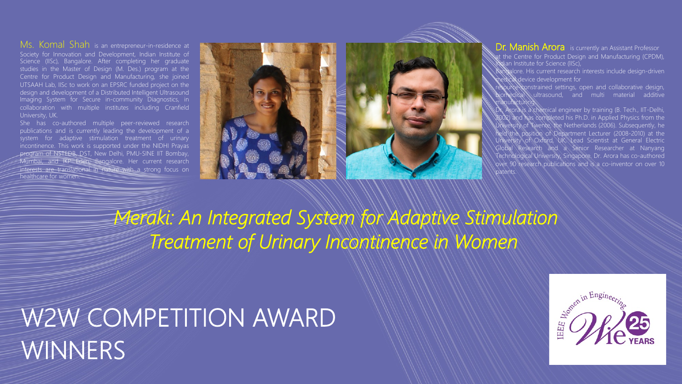## Ms. Komal Shah is an entrepreneur-in-residence at

Society for Innovation and Development, Indian Institute of Science (IISc), Bangalore. After completing her graduate studies in the Master of Design (M. Des.) program at the Centre for Product Design and Manufacturing, she joined UTSAAH Lab, IISc to work on an EPSRC funded project on the design and development of a Distributed Intelligent Ultrasound Imaging System for Secure in-community Diagnostics, in collaboration with multiple institutes including Cranfield University, UK.

She has co-authored multiple peer-reviewed research publications and is currently leading the development of a system for adaptive stimulation treatment of urinary incontinence. This work is supported under the NIDHI Prayas program of NSTEDB, DST, New Delhi, PMU-SINE IIT Bombay, Mumbai, and IKP Eden, Bangalore. Her current research interests are translational in nature with a strong focus on healthcare for women.



**Dr. Manish Arora** is currently an Assistant Professor at the Centre for Product Design and Manufacturing (CPDM),  $\frac{1}{2}$ ian Institute for Science (IISc),

angalore. His current research interests include design-driven medical device development for

resource-constrained settings, open and collaborative design, sultrasound, and multi material additive manufacturing.

Arora is a chemical engineer by training (B. Tech., IIT-Delhi, 2002) and has completed his Ph.D. in Applied Physics from the University of Twente, the Netherlands (2006). Subsequently, he held the position of Department Lecturer (2008-2010) at the University of Oxford, UK, Lead Scientist at General Electric Global Research and a Senior Researcher at Nanyang Technological University, Singapore. Dr. Arora has co-authored over 90 research publications and is a co-inventor on over 10 patents.

*Meraki: An Integrated System for Adaptive Stimulation Treatment of Urinary Incontinence in Women*

## W2W COMPETITION AWARD **WINNERS**

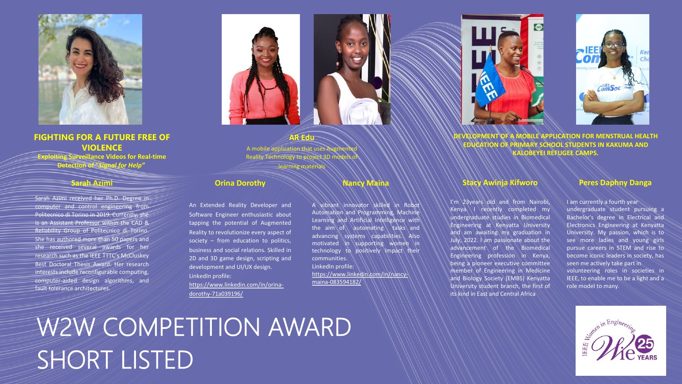

### **FIGHTING FOR A FUTURE FREE OF VIOLENCE**

**Exploiting Surveillance Videos for Real-time Detection of "***Signal for Help"*

#### **Sarah Azimi**

Sarah Azimi received her Ph.D. Degree in computer and control engineering from Politecnico di Torino in 2019. Currently, she is an Assistant Professor within the CAD & Reliability Group of Politecnico di Torino. She has authored more than 50 papers and she received several awards for her research such as the IEEE TTTC's McCluskey Best Doctoral Thesis Award. Her research interests include reconfigurable computing, computer-aided design algorithms, and fault tolerance architectures.

#### **Orina Dorothy**

An Extended Reality Developer and Software Engineer enthusiastic about tapping the potential of Augmented Reality to revolutionize every aspect of society – from education to politics, business and social relations. Skilled in 2D and 3D game design, scripting and development and UI/UX design. LinkedIn profile: https://www.linkedin.com/in/orina-

dorothy-71a039196/

#### **AR Edu**

A mobile application that uses Augn Reality Technology to project 3D model learning material

### **Nancy Maina**

A vibrant innovator skilled in Robot Automation and Programming, Machine Learning and Artificial Intelligence with the aim of automating tasks and advancing systems capabilities. Also motivated in supporting women in technology to positively impact their communities. LinkedIn profile:

https://www.linkedin.com/in/nancymaina-083594182/

# W2W COMPETITION AWARD SHORT LISTED